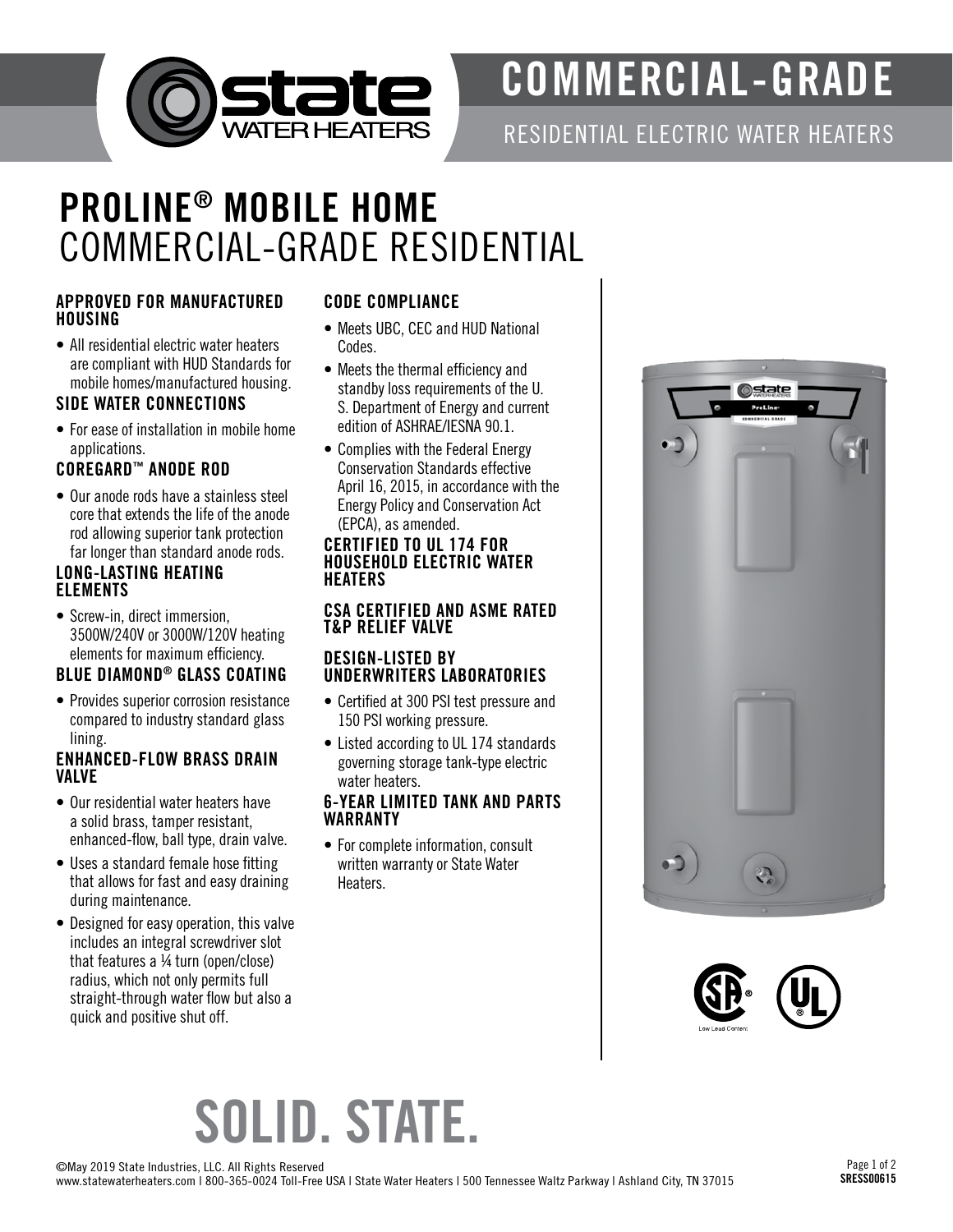

# COMMERCIAL-GRADE

RESIDENTIAL ELECTRIC WATER HEATERS

### PROLINE ® MOBILE HOME COMMERCIAL-GRADE RESIDENTIAL

#### APPROVED FOR MANUFACTURED **HOUSING**

• All residential electric water heaters are compliant with HUD Standards for mobile homes/manufactured housing.

#### SIDE WATER CONNECTIONS

• For ease of installation in mobile home applications.

#### COREGARD ™ ANODE ROD

• Our anode rods have a stainless steel core that extends the life of the anode rod allowing superior tank protection far longer than standard anode rods.

#### LONG-LASTING HEATING ELEMENTS

• Screw-in, direct immersion, 3500W/240V or 3000W/120V heating elements for maximum efficiency.

#### BLUE DIAMOND ® GLASS COATING

• Provides superior corrosion resistance compared to industry standard glass lining.

#### ENHANCED-FLOW BRASS DRAIN VALVE

- Our residential water heaters have a solid brass, tamper resistant, enhanced-flow, ball type, drain valve.
- Uses a standard female hose fitting that allows for fast and easy draining during maintenance.
- Designed for easy operation, this valve includes an integral screwdriver slot that features a ¼ turn (open/close) radius, which not only permits full straight-through water flow but also a quick and positive shut off.

#### CODE COMPLIANCE

- Meets UBC, CEC and HUD National Codes.
- Meets the thermal efficiency and standby loss requirements of the U. S. Department of Energy and current edition of ASHRAE/IESNA 90.1.
- Complies with the Federal Energy Conservation Standards effective April 16, 2015, in accordance with the Energy Policy and Conservation Act (EPCA), as amended.

#### CERTIFIED TO UL 174 FOR HOUSEHOLD ELECTRIC WATER HEATERS

#### CSA CERTIFIED AND ASME RATED T&P RELIEF VALVE

#### DESIGN-LISTED BY UNDERWRITERS LABORATORIES

- Certified at 300 PSI test pressure and 150 PSI working pressure.
- Listed according to UL 174 standards governing storage tank-type electric water heaters.

#### 6-YEAR LIMITED TANK AND PARTS WARRANTY

• For complete information, consult written warranty or State Water Heaters.





# SOLID. STATE.